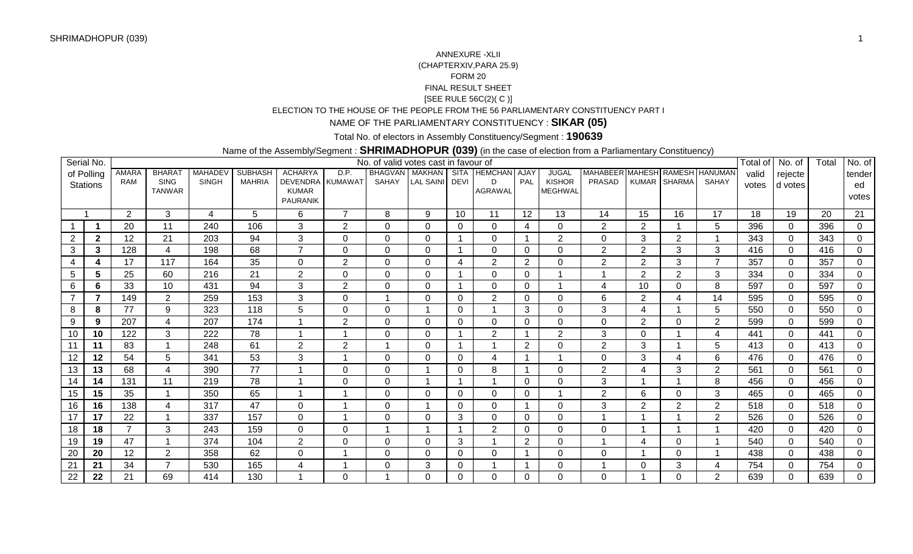### [SEE RULE 56C(2)( C )] ELECTION TO THE HOUSE OF THE PEOPLE FROM THE 56 PARLIAMENTARY CONSTITUENCY PART IANNEXURE -XLII (CHAPTERXIV,PARA 25.9)FORM 20FINAL RESULT SHEET

# NAME OF THE PARLIAMENTARY CONSTITUENCY : **SIKAR (05)**

## Total No. of electors in Assembly Constituency/Segment : **190639**

### Name of the Assembly/Segment : **SHRIMADHOPUR (039)** (in the case of election from a Parliamentary Constituency)

|                | Serial No.      |                |                |                |                |                                 |                | No. of valid votes cast in favour of |                  |              |                   |                 |                 |                                |                          |                |                 | Total of        | No. of          | Total           | No. of          |
|----------------|-----------------|----------------|----------------|----------------|----------------|---------------------------------|----------------|--------------------------------------|------------------|--------------|-------------------|-----------------|-----------------|--------------------------------|--------------------------|----------------|-----------------|-----------------|-----------------|-----------------|-----------------|
|                | of Polling      | AMARA          | <b>BHARAT</b>  | <b>MAHADEV</b> | <b>SUBHASH</b> | <b>ACHARYA</b>                  | D.P.           | <b>BHAGVAN MAKHAN</b>                |                  |              | SITA HEMCHAN AJAY |                 | <b>JUGAL</b>    | MAHABEER MAHESH RAMESH HANUMAN |                          |                |                 | valid           | rejecte         |                 | tender          |
|                | <b>Stations</b> | <b>RAM</b>     | <b>SING</b>    | <b>SINGH</b>   | <b>MAHRIA</b>  | DEVENDRA KUMAWAT                |                | SAHAY                                | <b>LAL SAINI</b> | <b>DEVI</b>  | D                 | PAL             | <b>KISHOR</b>   | PRASAD                         |                          | KUMAR SHARMA   | SAHAY           | votes           | d votes         |                 | ed              |
|                |                 |                | <b>TANWAR</b>  |                |                | <b>KUMAR</b><br><b>PAURANIK</b> |                |                                      |                  |              | <b>AGRAWAL</b>    |                 | <b>MEGHWAL</b>  |                                |                          |                |                 |                 |                 |                 | votes           |
|                |                 |                |                |                |                |                                 |                |                                      |                  |              |                   |                 |                 |                                |                          |                |                 |                 |                 |                 |                 |
|                | -1              | 2              | 3              | 4              | 5              | 6                               | $\overline{ }$ | 8                                    | 9                | 10           | 11                | $\overline{12}$ | $\overline{13}$ | 14                             | $\overline{15}$          | 16             | $\overline{17}$ | $\overline{18}$ | $\overline{19}$ | $\overline{20}$ | $\overline{21}$ |
|                |                 | 20             | 11             | 240            | 106            | 3                               | $\overline{2}$ | $\Omega$                             | 0                | 0            | $\Omega$          | 4               | 0               | 2                              | 2                        |                | 5               | 396             | $\Omega$        | 396             | $\Omega$        |
| $\overline{2}$ | $\mathbf{2}$    | 12             | 21             | 203            | 94             | 3                               | $\Omega$       | 0                                    | $\Omega$         |              | $\Omega$          |                 | $\overline{2}$  | $\Omega$                       | 3                        | $\overline{2}$ | $\overline{ }$  | 343             | $\Omega$        | 343             | $\Omega$        |
| $\mathbf{3}$   | 3               | 128            | 4              | 198            | 68             | $\overline{ }$                  | $\Omega$       | $\Omega$                             | $\Omega$         |              | $\Omega$          | $\mathbf{0}$    | $\Omega$        | $\overline{2}$                 | $\overline{2}$           | 3              | 3               | 416             | $\Omega$        | 416             | $\Omega$        |
| 4              |                 | 17             | 117            | 164            | 35             | $\Omega$                        | $\overline{2}$ | $\Omega$                             | $\Omega$         | 4            | $\overline{2}$    | 2               | 0               | $\overline{2}$                 | 2                        | 3              | $\overline{ }$  | 357             | $\Omega$        | 357             | $\Omega$        |
| 5              | 5               | 25             | 60             | 216            | 21             | $\overline{2}$                  | $\mathbf 0$    | $\mathbf 0$                          | $\Omega$         |              | $\mathbf 0$       | 0               |                 |                                | 2                        | $\overline{2}$ | $\mathbf{3}$    | 334             | $\Omega$        | 334             | $\mathbf 0$     |
| 6              | 6               | 33             | 10             | 431            | 94             | 3                               | $\overline{2}$ | $\overline{0}$                       | $\Omega$         | -1           | $\Omega$          | $\Omega$        | 4               | $\overline{A}$                 | 10                       | $\Omega$       | 8               | 597             | $\Omega$        | 597             | $\Omega$        |
|                | 7               | 149            | 2              | 259            | 153            | 3                               | 0              |                                      | $\Omega$         | 0            | $\overline{2}$    | 0               | $\Omega$        | 6                              | $\overline{2}$           |                | 14              | 595             | $\Omega$        | 595             | $\Omega$        |
| 8              | 8               | 77             | 9              | 323            | 118            | 5                               | 0              | $\mathbf 0$                          |                  | 0            |                   | 3               | $\Omega$        | 3                              | $\overline{4}$           |                | 5               | 550             | $\Omega$        | 550             | $\mathbf 0$     |
| 9              | 9               | 207            | 4              | 207            | 174            |                                 | $\overline{2}$ | $\overline{0}$                       | $\Omega$         | $\mathbf{0}$ | $\Omega$          | $\mathbf 0$     | $\Omega$        | $\Omega$                       | 2                        | $\Omega$       | 2               | 599             | $\Omega$        | 599             | $\mathbf 0$     |
| 10             | 10              | 122            | 3              | 222            | 78             |                                 | -1             | $\Omega$                             | $\Omega$         |              | $\overline{2}$    |                 | $\overline{2}$  | 3                              | $\Omega$                 |                | 4               | 441             | $\Omega$        | 441             | $\Omega$        |
| 11             | 11              | 83             |                | 248            | 61             | $\overline{2}$                  | $\overline{2}$ |                                      | $\Omega$         |              |                   | 2               | $\Omega$        | $\overline{2}$                 | 3                        |                | 5               | 413             | $\Omega$        | 413             | $\Omega$        |
| 12             | 12              | 54             | 5              | 341            | 53             | 3                               |                | 0                                    | $\Omega$         | $\mathbf{0}$ | $\Lambda$         |                 |                 | $\Omega$                       | 3                        |                | 6               | 476             | 0               | 476             | $\Omega$        |
| 13             | 13              | 68             | 4              | 390            | 77             |                                 | $\mathbf 0$    | $\overline{0}$                       |                  | $\mathbf{0}$ | 8                 |                 | $\Omega$        | $\overline{2}$                 | $\boldsymbol{\Delta}$    | 3              | 2               | 561             | $\Omega$        | 561             | $\Omega$        |
| 14             | 14              | 131            | 11             | 219            | 78             |                                 | 0              | 0                                    |                  |              |                   | 0               | 0               | 3                              |                          |                | 8               | 456             | $\Omega$        | 456             | $\Omega$        |
| 15             | 15              | 35             |                | 350            | 65             |                                 |                | $\Omega$                             | $\Omega$         | $\mathbf{0}$ | $\Omega$          | $\Omega$        |                 | $\overline{2}$                 | 6                        | $\Omega$       | 3               | 465             | $\Omega$        | 465             | $\mathbf{0}$    |
| 16             | 16              | 138            | $\overline{A}$ | 317            | 47             | $\Omega$                        | 1              | $\Omega$                             |                  | $\Omega$     | $\Omega$          |                 | 0               | 3                              | 2                        | $\overline{2}$ | 2               | 518             | $\Omega$        | 518             | $\Omega$        |
| 17             | 17              | 22             |                | 337            | 157            | $\Omega$                        | -1             | $\Omega$                             | $\Omega$         | 3            | $\Omega$          | $\Omega$        | $\Omega$        |                                |                          |                | 2               | 526             | $\Omega$        | 526             | $\Omega$        |
| 18             | 18              | $\overline{ }$ | 3              | 243            | 159            | $\Omega$                        | 0              |                                      |                  |              | $\overline{2}$    | $\Omega$        | $\Omega$        | $\Omega$                       |                          |                |                 | 420             | $\Omega$        | 420             | $\mathbf 0$     |
| 19             | 19              | 47             |                | 374            | 104            | $\overline{2}$                  | $\mathbf 0$    | $\Omega$                             | $\Omega$         | 3            |                   | 2               | $\Omega$        |                                | $\boldsymbol{\varDelta}$ | $\Omega$       |                 | 540             | $\Omega$        | 540             | $\Omega$        |
| 20             | 20              | 12             | 2              | 358            | 62             | 0                               | -1             | $\Omega$                             | $\Omega$         | $\mathbf{0}$ | $\mathbf{0}$      |                 | $\Omega$        | $\Omega$                       |                          | $\Omega$       |                 | 438             | $\Omega$        | 438             | $\Omega$        |
| 21             | 21              | 34             | ⇁              | 530            | 165            | 4                               | -1             | $\Omega$                             | 3                | $\mathbf{0}$ |                   |                 | 0               |                                | $\Omega$                 | 3              | $\overline{4}$  | 754             | $\Omega$        | 754             | $\Omega$        |
| 22             | 22              | 21             | 69             | 414            | 130            |                                 | $\Omega$       |                                      | $\Omega$         | $\mathbf{0}$ | $\Omega$          | 0               | 0               | 0                              |                          | $\Omega$       | $\overline{2}$  | 639             | 0               | 639             | $\mathbf{0}$    |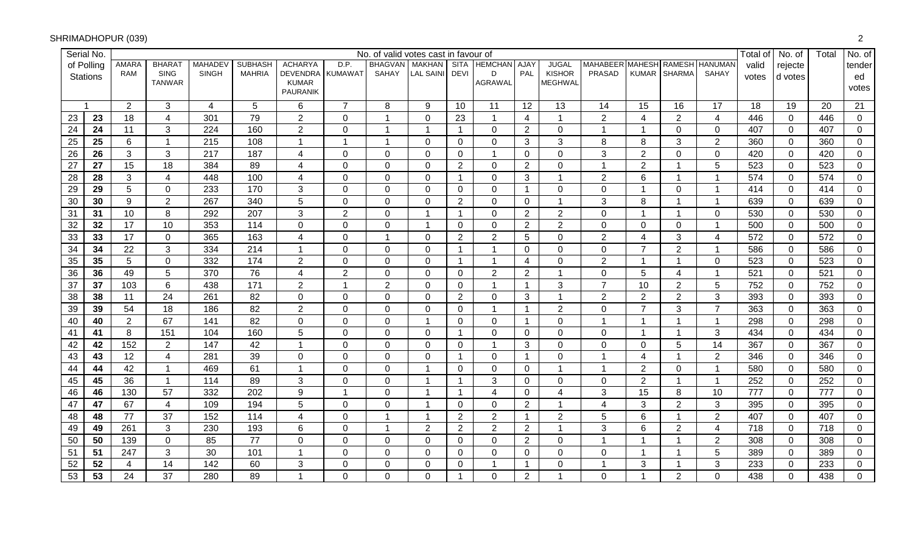|                 | Serial No.      |                |                              |                |                |                                 |                  | No. of valid votes cast in favour of |                         |                         |                     |                 |                                 |                                |                |                         |                | Total of | No. of         | Total | No. of         |
|-----------------|-----------------|----------------|------------------------------|----------------|----------------|---------------------------------|------------------|--------------------------------------|-------------------------|-------------------------|---------------------|-----------------|---------------------------------|--------------------------------|----------------|-------------------------|----------------|----------|----------------|-------|----------------|
|                 | of Polling      | <b>AMARA</b>   | <b>BHARA</b>                 | <b>MAHADE\</b> | <b>SUBHASH</b> | <b>ACHARYA</b>                  | D.P.             | <b>BHAGVAN</b>                       | <b>MAKHAN</b>           |                         | SITA HEMCHAN AJAY   |                 | <b>JUGAL</b>                    | MAHABEER MAHESH RAMESH HANUMAN |                |                         |                | valid    | rejecte        |       | tender         |
|                 | <b>Stations</b> | <b>RAM</b>     | <b>SING</b><br><b>TANWAR</b> | <b>SINGH</b>   | <b>MAHRIA</b>  | <b>DEVENDRA</b><br><b>KUMAR</b> | <b>KUMAWAT</b>   | <b>SAHAY</b>                         | <b>LAL SAINI</b>        | DEVI                    | D<br><b>AGRAWAL</b> | PAL             | <b>KISHOR</b><br><b>MEGHWAL</b> | <b>PRASAD</b>                  |                | KUMAR SHARMA            | <b>SAHAY</b>   | votes    | d votes        |       | ed             |
|                 |                 |                |                              |                |                | PAURANIK                        |                  |                                      |                         |                         |                     |                 |                                 |                                |                |                         |                |          |                |       | votes          |
|                 |                 | 2              | 3                            | 4              | 5              | 6                               | $\overline{7}$   | 8                                    | 9                       | 10                      | 11                  | 12              | 13                              | 14                             | 15             | 16                      | 17             | 18       | 19             | 20    | 21             |
| 23              | 23              | 18             | $\overline{4}$               | 301            | 79             | $\overline{2}$                  | $\mathbf 0$      | $\mathbf{1}$                         | $\mathbf 0$             | 23                      | $\mathbf 1$         | $\overline{4}$  | $\mathbf 1$                     | $\overline{2}$                 | 4              | $\overline{2}$          | $\overline{4}$ | 446      | $\mathbf 0$    | 446   | $\overline{0}$ |
| 24              | 24              | 11             | 3                            | 224            | 160            | $\overline{2}$                  | $\pmb{0}$        | $\mathbf{1}$                         | $\overline{\mathbf{1}}$ | $\overline{1}$          | $\overline{0}$      | $\overline{2}$  | $\mathbf 0$                     | $\overline{1}$                 | $\overline{1}$ | $\Omega$                | $\mathbf 0$    | 407      | $\overline{0}$ | 407   | $\mathbf 0$    |
| $\overline{25}$ | 25              | $\,6\,$        | $\overline{1}$               | 215            | 108            | 1                               | $\mathbf{1}$     | $\mathbf 1$                          | $\Omega$                | 0                       | $\Omega$            | 3               | $\mathbf{3}$                    | $\,8\,$                        | 8              | 3                       | $\overline{2}$ | 360      | $\overline{0}$ | 360   | 0              |
| $\overline{26}$ | 26              | $\mathfrak{S}$ | 3                            | 217            | 187            | 4                               | $\pmb{0}$        | $\mathbf 0$                          | $\mathbf 0$             | 0                       | 1                   | $\overline{0}$  | $\mathbf 0$                     | 3                              | $\overline{2}$ | 0                       | $\mathbf 0$    | 420      | $\mathbf 0$    | 420   | $\mathbf 0$    |
| $\overline{27}$ | 27              | 15             | 18                           | 384            | 89             | 4                               | $\mathbf 0$      | $\overline{0}$                       | $\Omega$                | $\overline{2}$          | $\Omega$            | 2               | $\mathbf 0$                     |                                | $\overline{2}$ | $\overline{\mathbf{1}}$ | 5              | 523      | $\overline{0}$ | 523   | $\overline{0}$ |
| $\overline{28}$ | 28              | $\mathbf{3}$   | $\overline{4}$               | 448            | 100            | 4                               | $\mathbf 0$      | $\mathbf 0$                          | $\mathbf 0$             | 1                       | $\mathbf 0$         | 3               |                                 | $\overline{2}$                 | 6              | -1                      | $\mathbf{1}$   | 574      | $\overline{0}$ | 574   | $\mathbf 0$    |
| 29              | 29              | 5              | $\mathbf 0$                  | 233            | 170            | 3                               | $\mathbf 0$      | $\overline{0}$                       | $\mathbf 0$             | $\mathbf 0$             | $\mathbf 0$         | $\mathbf{1}$    | $\mathbf{0}$                    | $\mathbf 0$                    | $\overline{1}$ | $\mathbf 0$             | $\mathbf{1}$   | 414      | $\Omega$       | 414   | $\mathbf 0$    |
| 30              | 30              | 9              | $\overline{2}$               | 267            | 340            | 5                               | $\mathbf 0$      | $\mathbf 0$                          | 0                       | $\overline{2}$          | 0                   | $\mathbf 0$     | 1                               | 3                              | 8              | -1                      | $\mathbf{1}$   | 639      | $\Omega$       | 639   | 0              |
| 31              | 31              | 10             | 8                            | 292            | 207            | 3                               | $\overline{2}$   | $\mathbf 0$                          | $\overline{\mathbf{1}}$ | $\overline{\mathbf{1}}$ | $\overline{0}$      | $\overline{2}$  | $\overline{2}$                  | 0                              | $\overline{1}$ | $\overline{1}$          | $\mathbf 0$    | 530      | $\Omega$       | 530   | $\mathbf 0$    |
| 32              | 32              | 17             | 10                           | 353            | 114            | $\overline{0}$                  | $\mathbf 0$      | $\overline{0}$                       | $\overline{\mathbf{1}}$ | $\mathbf{0}$            | $\mathbf 0$         | $\overline{2}$  | $\overline{2}$                  | $\mathbf 0$                    | $\Omega$       | $\Omega$                | $\mathbf{1}$   | 500      | $\overline{0}$ | 500   | $\overline{0}$ |
| 33              | 33              | 17             | $\mathbf 0$                  | 365            | 163            | $\overline{4}$                  | $\mathbf 0$      | $\mathbf{1}$                         | $\mathbf 0$             | 2                       | $\overline{2}$      | $5\phantom{.0}$ | $\overline{0}$                  | $\overline{2}$                 | $\overline{4}$ | 3                       | $\overline{4}$ | 572      | $\overline{0}$ | 572   | $\mathbf 0$    |
| $\overline{34}$ | 34              | 22             | 3                            | 334            | 214            | 1                               | $\mathbf 0$      | $\overline{0}$                       | $\Omega$                | -1                      | -1                  | $\mathbf 0$     | $\overline{0}$                  | $\mathbf{0}$                   | $\overline{7}$ | 2                       | $\mathbf{1}$   | 586      | $\overline{0}$ | 586   | $\overline{0}$ |
| 35              | 35              | $\overline{5}$ | $\mathbf{0}$                 | 332            | 174            | $\overline{2}$                  | $\mathbf 0$      | $\mathbf 0$                          | $\mathbf 0$             | -1                      | $\overline{1}$      | $\overline{4}$  | $\overline{0}$                  | $\overline{2}$                 | 1              | $\overline{\mathbf{1}}$ | $\mathbf{0}$   | 523      | $\overline{0}$ | 523   | $\mathbf 0$    |
| 36              | 36              | 49             | $5\phantom{.0}$              | 370            | 76             | $\overline{4}$                  | $\overline{2}$   | $\overline{0}$                       | $\mathbf 0$             | $\overline{0}$          | $\overline{2}$      | $\overline{2}$  | $\overline{1}$                  | $\mathbf{0}$                   | 5              | $\overline{4}$          | $\mathbf{1}$   | 521      | $\overline{0}$ | 521   | $\overline{0}$ |
| $\overline{37}$ | 37              | 103            | $6\phantom{1}$               | 438            | 171            | $\overline{2}$                  | $\overline{1}$   | $\overline{2}$                       | $\mathbf 0$             | 0                       | $\overline{1}$      | $\mathbf{1}$    | 3                               | $\overline{7}$                 | 10             | $\overline{2}$          | 5              | 752      | $\mathbf 0$    | 752   | $\mathbf 0$    |
| 38              | 38              | 11             | 24                           | 261            | 82             | $\pmb{0}$                       | $\mathbf 0$      | $\mathbf 0$                          | $\mathbf 0$             | 2                       | $\mathbf 0$         | 3               | $\overline{1}$                  | $\overline{2}$                 | $\overline{2}$ | $\overline{2}$          | 3              | 393      | $\mathbf 0$    | 393   | $\mathbf 0$    |
| 39              | 39              | 54             | 18                           | 186            | 82             | $\overline{2}$                  | $\mathbf 0$      | $\mathbf 0$                          | $\Omega$                | $\mathbf{0}$            | $\mathbf 1$         | $\mathbf{1}$    | $\overline{2}$                  | $\mathbf 0$                    | $\overline{7}$ | 3                       | $\overline{7}$ | 363      | $\mathbf 0$    | 363   | $\Omega$       |
| 40              | 40              | $\overline{2}$ | 67                           | 141            | 82             | $\mathbf 0$                     | $\mathbf 0$      | $\mathbf 0$                          | $\overline{\mathbf{1}}$ | $\mathbf 0$             | $\overline{0}$      | $\mathbf{1}$    | $\mathbf 0$                     | $\overline{1}$                 | $\overline{1}$ | $\overline{\mathbf{1}}$ | $\mathbf{1}$   | 298      | $\overline{0}$ | 298   | $\mathbf 0$    |
| 41              | 41              | 8              | 151                          | 104            | 160            | 5                               | $\boldsymbol{0}$ | $\mathbf 0$                          | $\Omega$                | $\overline{1}$          | $\mathbf 0$         | $\mathbf 0$     | $\mathbf{0}$                    | $\mathbf 0$                    | $\overline{1}$ | $\overline{\mathbf{1}}$ | $\sqrt{3}$     | 434      | $\overline{0}$ | 434   | $\mathbf 0$    |
| 42              | 42              | 152            | $\overline{2}$               | 147            | 42             | 1                               | $\mathbf 0$      | $\mathbf 0$                          | $\Omega$                | $\mathbf 0$             | -1                  | 3               | $\mathbf{0}$                    | $\mathbf 0$                    | $\Omega$       | 5                       | 14             | 367      | $\Omega$       | 367   | $\mathbf{0}$   |
| 43              | 43              | 12             | $\overline{4}$               | 281            | 39             | $\pmb{0}$                       | $\mathbf 0$      | $\mathbf 0$                          | $\mathbf 0$             | -1                      | $\mathbf 0$         | $\mathbf{1}$    | $\mathbf 0$                     |                                | $\overline{4}$ | $\overline{\mathbf{1}}$ | $\overline{2}$ | 346      | $\overline{0}$ | 346   | $\mathbf 0$    |
| 44              | 44              | 42             |                              | 469            | 61             | $\mathbf 1$                     | $\mathbf 0$      | $\mathbf 0$                          | -1                      | $\mathbf{0}$            | 0                   | $\mathbf 0$     |                                 |                                | $\overline{2}$ | $\Omega$                | $\mathbf{1}$   | 580      | $\mathbf{0}$   | 580   | 0              |
| 45              | 45              | 36             |                              | 114            | 89             | 3                               | $\pmb{0}$        | $\mathbf 0$                          | $\overline{\mathbf{1}}$ | -1                      | 3                   | $\overline{0}$  | $\mathbf 0$                     | $\mathbf 0$                    | $\overline{2}$ | -1                      | $\mathbf{1}$   | 252      | $\overline{0}$ | 252   | $\mathbf 0$    |
| 46              | 46              | 130            | 57                           | 332            | 202            | 9                               | $\overline{1}$   | $\mathbf 0$                          | -1                      | -1                      | 4                   | $\Omega$        | 4                               | 3                              | 15             | 8                       | 10             | 777      | $\mathbf{0}$   | 777   | 0              |
| 47              | 47              | 67             | $\overline{4}$               | 109            | 194            | 5                               | $\mathbf 0$      | $\mathbf 0$                          | -1                      | $\mathbf 0$             | $\overline{0}$      | $\overline{2}$  |                                 | $\overline{4}$                 | 3              | $\overline{2}$          | $\mathbf{3}$   | 395      | $\overline{0}$ | 395   | $\mathbf 0$    |
| 48              | 48              | 77             | 37                           | 152            | 114            | 4                               | $\pmb{0}$        | $\mathbf{1}$                         | -1                      | $\overline{2}$          | $\overline{2}$      | $\mathbf{1}$    | $\overline{2}$                  | $5\phantom{.0}$                | 6              | $\overline{\mathbf{1}}$ | $\overline{2}$ | 407      | $\mathbf{0}$   | 407   | $\mathbf 0$    |
| 49              | 49              | 261            | 3                            | 230            | 193            | 6                               | $\mathbf 0$      | $\mathbf{1}$                         | $\overline{2}$          | 2                       | $\overline{2}$      | $\overline{2}$  | $\overline{1}$                  | 3                              | 6              | $\overline{2}$          | $\overline{4}$ | 718      | $\overline{0}$ | 718   | $\mathbf 0$    |
| 50              | 50              | 139            | $\mathbf 0$                  | 85             | 77             | $\mathbf 0$                     | $\mathbf 0$      | $\mathbf 0$                          | 0                       | 0                       | $\mathbf 0$         | $\overline{2}$  | $\mathbf 0$                     | $\overline{1}$                 | -1             | $\overline{\mathbf{1}}$ | $\overline{2}$ | 308      | $\overline{0}$ | 308   | $\mathbf 0$    |
| 51              | 51              | 247            | 3                            | 30             | 101            | 1                               | $\pmb{0}$        | $\mathbf 0$                          | $\Omega$                | 0                       | $\Omega$            | $\Omega$        | $\mathbf 0$                     | $\mathbf 0$                    | $\overline{1}$ | -1                      | 5              | 389      | $\overline{0}$ | 389   | 0              |
| 52              | 52              | $\overline{4}$ | 14                           | 142            | 60             | 3                               | $\mathbf 0$      | $\mathbf 0$                          | 0                       | 0                       |                     | $\overline{1}$  | $\mathbf 0$                     |                                | 3              | -1                      | 3              | 233      | $\mathbf 0$    | 233   | $\mathbf 0$    |
| 53              | 53              | 24             | 37                           | 280            | 89             |                                 | $\mathbf{0}$     | $\overline{0}$                       | $\Omega$                | 1                       | 0                   | $\overline{2}$  |                                 | $\overline{0}$                 |                | $\overline{2}$          | $\overline{0}$ | 438      | $\overline{0}$ | 438   | $\mathbf 0$    |

## SHRIMADHOPUR (039)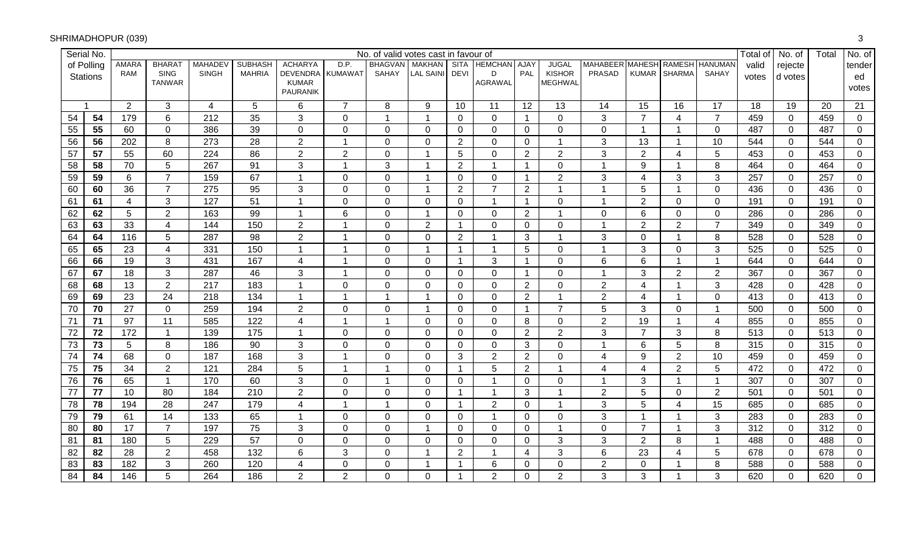|                 | Serial No.      |                 |                              |                |                |                                    |                | No. of valid votes cast in favour of |                  |                |                   |                |                                 |                 |                         |                |                 | Total of | No. of      | Total | No. of         |
|-----------------|-----------------|-----------------|------------------------------|----------------|----------------|------------------------------------|----------------|--------------------------------------|------------------|----------------|-------------------|----------------|---------------------------------|-----------------|-------------------------|----------------|-----------------|----------|-------------|-------|----------------|
|                 | of Polling      | <b>AMARA</b>    | BHARA <sub>1</sub>           | <b>MAHADEV</b> | <b>SUBHASH</b> | <b>ACHARYA</b>                     | D.P.           | <b>BHAGVAN</b>                       | <b>MAKHAN</b>    |                | SITA HEMCHAN AJAY |                | <b>JUGAL</b>                    | <b>MAHABEER</b> | <b>MAHESH</b>           | <b>RAMESH</b>  | <b>HANUMAN</b>  | valid    | rejecte     |       | tender         |
|                 | <b>Stations</b> | <b>RAM</b>      | <b>SING</b><br><b>TANWAR</b> | <b>SINGH</b>   | <b>MAHRIA</b>  | DEVENDRA I KUMAWAT<br><b>KUMAR</b> |                | <b>SAHAY</b>                         | <b>LAL SAINI</b> | <b>DEVI</b>    | D<br>AGRAWAL      | PAL            | <b>KISHOR</b><br><b>MEGHWAL</b> | <b>PRASAD</b>   | <b>KUMAR</b>            | <b>SHARMA</b>  | SAHAY           | votes    | d votes     |       | ed             |
|                 |                 |                 |                              |                |                | <b>PAURANIK</b>                    |                |                                      |                  |                |                   |                |                                 |                 |                         |                |                 |          |             |       | votes          |
|                 |                 | 2               | 3                            | 4              | 5              | 6                                  | $\overline{7}$ | 8                                    | 9                | 10             | 11                | 12             | 13                              | 14              | 15                      | 16             | 17              | 18       | 19          | 20    | 21             |
| 54              | 54              | 179             | 6                            | 212            | 35             | 3                                  | $\mathbf 0$    | $\mathbf{1}$                         | -1               | $\overline{0}$ | $\mathbf 0$       | $\mathbf{1}$   | 0                               | 3               | $\overline{7}$          | 4              | $\overline{7}$  | 459      | $\mathbf 0$ | 459   | $\overline{0}$ |
| 55              | 55              | 60              | $\mathbf 0$                  | 386            | 39             | $\mathbf 0$                        | $\mathbf 0$    | $\pmb{0}$                            | $\Omega$         | $\mathbf 0$    | $\mathbf 0$       | $\mathbf 0$    | 0                               | 0               | $\overline{1}$          | $\overline{1}$ | $\mathbf 0$     | 487      | $\mathbf 0$ | 487   | $\mathbf 0$    |
| 56              | 56              | 202             | 8                            | 273            | 28             | $\overline{2}$                     | $\overline{1}$ | $\mathbf 0$                          | $\Omega$         | $\overline{2}$ | 0                 | $\mathbf 0$    | 1                               | 3               | 13                      | $\overline{1}$ | 10              | 544      | $\mathbf 0$ | 544   | 0              |
| 57              | 57              | 55              | 60                           | 224            | 86             | $\overline{2}$                     | $\overline{2}$ | $\pmb{0}$                            | 1                | 5              | $\mathbf 0$       | $\overline{2}$ | $\overline{2}$                  | 3               | $\overline{2}$          | 4              | 5               | 453      | $\mathbf 0$ | 453   | $\mathbf 0$    |
| 58              | 58              | 70              | 5                            | 267            | 91             | 3                                  | $\overline{1}$ | 3                                    |                  | $\overline{2}$ |                   | $\overline{1}$ | 0                               | 1               | 9                       | $\overline{1}$ | 8               | 464      | $\mathbf 0$ | 464   | $\mathbf 0$    |
| 59              | 59              | $6\phantom{1}$  | $\overline{7}$               | 159            | 67             | $\overline{1}$                     | $\pmb{0}$      | $\pmb{0}$                            | 1                | $\overline{0}$ | $\mathbf 0$       | $\mathbf 1$    | $\overline{2}$                  | 3               | $\overline{4}$          | 3              | 3               | 257      | $\mathbf 0$ | 257   | $\mathbf 0$    |
| 60              | 60              | 36              | $\overline{7}$               | 275            | 95             | $\sqrt{3}$                         | $\mathbf 0$    | $\mathbf 0$                          | -1               | $\overline{2}$ | $\overline{7}$    | 2              | 1                               | 1               | 5                       | $\overline{1}$ | $\overline{0}$  | 436      | $\mathbf 0$ | 436   | $\mathbf 0$    |
| 61              | 61              | $\overline{4}$  | 3                            | 127            | 51             | $\overline{1}$                     | $\pmb{0}$      | $\pmb{0}$                            | $\Omega$         | $\Omega$       | 1                 | $\mathbf{1}$   | 0                               | 1               | $\overline{2}$          | $\Omega$       | $\mathbf 0$     | 191      | $\mathbf 0$ | 191   | 0              |
| 62              | 62              | 5               | $\overline{2}$               | 163            | 99             | $\mathbf{1}$                       | 6              | $\pmb{0}$                            | $\mathbf 1$      | $\overline{0}$ | 0                 | $\overline{2}$ | 1                               | 0               | 6                       | $\mathbf 0$    | $\mathbf 0$     | 286      | $\mathbf 0$ | 286   | $\mathbf 0$    |
| 63              | 63              | 33              | 4                            | 144            | 150            | $\overline{2}$                     | $\overline{1}$ | $\mathbf 0$                          | $\overline{2}$   | $\mathbf 1$    | $\mathbf 0$       | $\mathbf 0$    | 0                               | 1               | $\overline{2}$          | $\overline{2}$ | $\overline{7}$  | 349      | $\mathbf 0$ | 349   | $\mathbf 0$    |
| 64              | 64              | 116             | $5\phantom{.0}$              | 287            | 98             | $\overline{2}$                     | $\overline{1}$ | $\mathbf 0$                          | $\overline{0}$   | $\overline{2}$ |                   | 3              | 1                               | 3               | $\mathbf 0$             | $\mathbf 1$    | 8               | 528      | $\mathbf 0$ | 528   | $\mathbf 0$    |
| 65              | 65              | 23              | $\overline{4}$               | 331            | 150            | $\overline{1}$                     | $\overline{1}$ | $\mathbf 0$                          | $\overline{1}$   | $\overline{1}$ |                   | 5              | 0                               | 1               | 3                       | $\Omega$       | 3               | 525      | $\mathbf 0$ | 525   | $\mathbf 0$    |
| 66              | 66              | 19              | 3                            | 431            | 167            | $\overline{\mathbf{4}}$            | $\overline{1}$ | $\mathbf 0$                          | $\overline{0}$   | $\mathbf{1}$   | 3                 | $\overline{1}$ | 0                               | 6               | 6                       | $\mathbf{1}$   | $\overline{1}$  | 644      | $\mathbf 0$ | 644   | $\mathbf 0$    |
| 67              | 67              | 18              | 3                            | 287            | 46             | 3                                  | $\overline{1}$ | $\pmb{0}$                            | $\Omega$         | $\overline{0}$ | $\mathbf 0$       | $\mathbf{1}$   | 0                               | 1               | 3                       | $\overline{2}$ | $\overline{2}$  | 367      | $\mathbf 0$ | 367   | $\mathbf 0$    |
| 68              | 68              | 13              | $\overline{2}$               | 217            | 183            | $\mathbf{1}$                       | $\mathbf 0$    | $\mathbf 0$                          | $\overline{0}$   | 0              | $\mathbf 0$       | $\overline{2}$ | 0                               | $\overline{2}$  | 4                       | $\overline{1}$ | 3               | 428      | $\mathbf 0$ | 428   | 0              |
| 69              | 69              | 23              | 24                           | 218            | 134            | $\mathbf{1}$                       | $\overline{1}$ | $\mathbf{1}$                         | -1               | $\mathbf 0$    | $\mathbf 0$       | $\overline{2}$ | $\mathbf{1}$                    | $\overline{2}$  | $\overline{\mathbf{4}}$ | $\overline{1}$ | $\mathbf 0$     | 413      | $\mathbf 0$ | 413   | $\mathbf 0$    |
| 70              | 70              | 27              | $\mathbf 0$                  | 259            | 194            | $\overline{2}$                     | $\mathbf 0$    | $\mathbf 0$                          | 1                | $\Omega$       | $\mathbf 0$       | $\mathbf{1}$   | $\overline{7}$                  | 5               | 3                       | $\overline{0}$ | $\overline{1}$  | 500      | $\mathbf 0$ | 500   | 0              |
| $\overline{71}$ | 71              | 97              | 11                           | 585            | 122            | $\overline{\mathbf{4}}$            | $\overline{1}$ | $\mathbf{1}$                         | $\mathbf 0$      | $\overline{0}$ | $\mathbf 0$       | 8              | 0                               | $\overline{2}$  | 19                      | $\overline{1}$ | $\overline{4}$  | 855      | $\mathbf 0$ | 855   | $\mathbf 0$    |
| 72              | 72              | 172             | $\overline{1}$               | 139            | 175            | $\mathbf{1}$                       | $\mathbf 0$    | $\mathbf 0$                          | $\mathbf 0$      | $\overline{0}$ | $\mathbf 0$       | $\overline{2}$ | $\overline{2}$                  | 3               | $\overline{7}$          | 3              | 8               | 513      | $\mathbf 0$ | 513   | 0              |
| 73              | 73              | $5\phantom{.0}$ | 8                            | 186            | 90             | 3                                  | $\pmb{0}$      | $\mathbf 0$                          | $\mathbf{0}$     | $\Omega$       | 0                 | 3              | 0                               | 1               | 6                       | 5              | 8               | 315      | $\mathbf 0$ | 315   | 0              |
| $\overline{74}$ | 74              | 68              | $\mathbf 0$                  | 187            | 168            | $\mathfrak{S}$                     | $\overline{1}$ | $\pmb{0}$                            | $\mathbf 0$      | 3              | $\overline{2}$    | $\overline{2}$ | 0                               | 4               | 9                       | $\overline{2}$ | 10              | 459      | $\mathbf 0$ | 459   | $\mathbf 0$    |
| $\overline{75}$ | 75              | 34              | $\overline{2}$               | 121            | 284            | $\overline{5}$                     | $\mathbf{1}$   | $\overline{1}$                       | $\mathbf{0}$     | $\mathbf 1$    | $5\phantom{.0}$   | $\overline{2}$ | 1                               | 4               | 4                       | $\overline{2}$ | 5               | 472      | $\mathbf 0$ | 472   | 0              |
| 76              | 76              | 65              | $\overline{1}$               | 170            | 60             | 3                                  | $\pmb{0}$      | $\overline{1}$                       | $\overline{0}$   | $\overline{0}$ |                   | $\mathbf 0$    | 0                               | 1               | 3                       | -1             | $\overline{1}$  | 307      | $\mathbf 0$ | 307   | $\mathbf 0$    |
| 77              | 77              | 10              | 80                           | 184            | 210            | $\overline{2}$                     | $\mathbf 0$    | $\mathbf 0$                          | $\Omega$         | $\mathbf 1$    |                   | 3              | 1                               | $\overline{2}$  | 5                       | $\Omega$       | $\overline{2}$  | 501      | $\mathbf 0$ | 501   | $\mathbf 0$    |
| 78              | 78              | 194             | 28                           | 247            | 179            | $\overline{4}$                     | $\overline{1}$ | $\overline{1}$                       | $\overline{0}$   | $\mathbf 1$    | $\overline{2}$    | $\overline{0}$ | 1                               | $\mathfrak{S}$  | 5                       | 4              | $\overline{15}$ | 685      | $\mathbf 0$ | 685   | $\mathbf 0$    |
| 79              | 79              | 61              | 14                           | 133            | 65             | $\overline{1}$                     | $\pmb{0}$      | $\pmb{0}$                            | $\Omega$         | $\Omega$       |                   | $\overline{0}$ | 0                               | $\mathfrak{S}$  | $\overline{1}$          | $\overline{1}$ | 3               | 283      | $\mathbf 0$ | 283   | $\mathbf 0$    |
| 80              | 80              | 17              | $\overline{7}$               | 197            | 75             | 3                                  | $\mathbf 0$    | $\mathbf 0$                          | -1               | $\Omega$       | $\Omega$          | $\mathbf 0$    | 1                               | 0               | $\overline{7}$          | $\overline{1}$ | 3               | 312      | 0           | 312   | $\mathbf 0$    |
| 81              | 81              | 180             | 5                            | 229            | 57             | $\mathbf 0$                        | $\mathbf 0$    | $\pmb{0}$                            | $\Omega$         | $\Omega$       | $\mathbf 0$       | $\mathbf 0$    | $\mathbf{3}$                    | 3               | $\overline{2}$          | 8              | $\overline{1}$  | 488      | $\mathbf 0$ | 488   | $\mathbf 0$    |
| 82              | 82              | 28              | $\overline{2}$               | 458            | 132            | 6                                  | 3              | $\mathbf 0$                          | 1                | $\overline{2}$ | $\overline{1}$    | $\overline{4}$ | 3                               | 6               | 23                      | 4              | 5               | 678      | 0           | 678   | $\mathbf 0$    |
| 83              | 83              | 182             | 3                            | 260            | 120            | $\overline{\mathbf{4}}$            | $\mathbf 0$    | $\pmb{0}$                            | 1                | 1              | 6                 | $\mathbf 0$    | 0                               | $\overline{2}$  | $\overline{0}$          |                | 8               | 588      | $\mathbf 0$ | 588   | $\mathbf 0$    |
| 84              | 84              | 146             | 5                            | 264            | 186            | $\overline{2}$                     | $\overline{2}$ | $\mathbf 0$                          | $\Omega$         | 1              | $\overline{2}$    | $\overline{0}$ | $\overline{2}$                  | 3               | 3                       |                | 3               | 620      | $\mathbf 0$ | 620   | $\mathbf 0$    |

#### SHRIMADHOPUR (039)) and the contract of  $\overline{3}$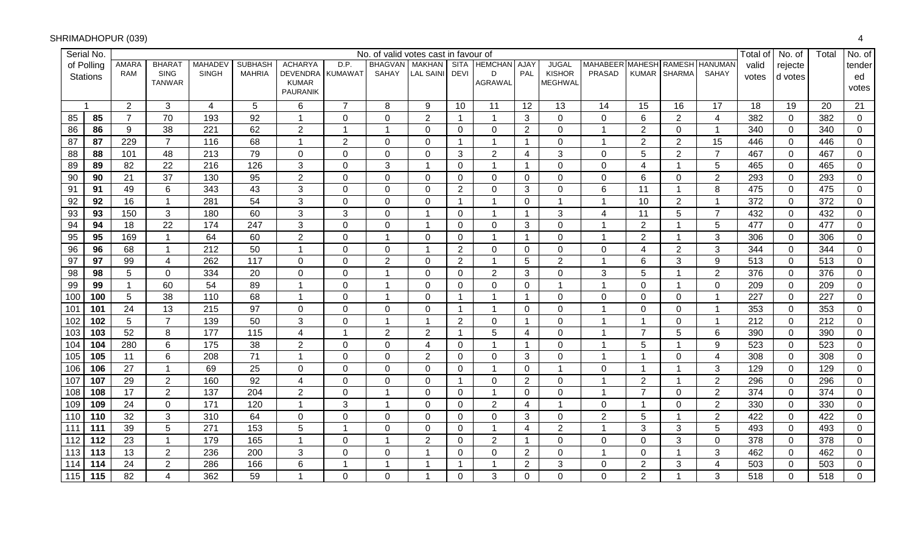|     | Serial No.      |                 |                              |                |                 |                                 |                | No. of valid votes cast in favour of |                         |                |                     |                |                                 |                                |                         |                         |                         | Total of | No. of         | Total | No. of         |
|-----|-----------------|-----------------|------------------------------|----------------|-----------------|---------------------------------|----------------|--------------------------------------|-------------------------|----------------|---------------------|----------------|---------------------------------|--------------------------------|-------------------------|-------------------------|-------------------------|----------|----------------|-------|----------------|
|     | of Polling      | <b>AMARA</b>    | <b>BHARA</b>                 | <b>MAHADE\</b> | <b>SUBHASH</b>  | <b>ACHARYA</b>                  | D.P.           | <b>BHAGVAN</b>                       | <b>MAKHAN</b>           |                | SITA HEMCHAN AJAY   |                | <b>JUGAL</b>                    | MAHABEER MAHESH RAMESH HANUMAN |                         |                         |                         | valid    | rejecte        |       | tender         |
|     | <b>Stations</b> | <b>RAM</b>      | <b>SING</b><br><b>TANWAR</b> | <b>SINGH</b>   | <b>MAHRIA</b>   | <b>DEVENDRA</b><br><b>KUMAR</b> | <b>KUMAWAT</b> | SAHAY                                | <b>LAL SAINI</b>        | <b>DEVI</b>    | D<br><b>AGRAWAL</b> | PAL            | <b>KISHOR</b><br><b>MEGHWAL</b> | <b>PRASAD</b>                  |                         | KUMAR SHARMA            | <b>SAHAY</b>            | votes    | d votes        |       | ed             |
|     |                 |                 |                              |                |                 | PAURANIK                        |                |                                      |                         |                |                     |                |                                 |                                |                         |                         |                         |          |                |       | votes          |
|     |                 | $\overline{2}$  | 3                            | 4              | 5               | 6                               | $\overline{7}$ | 8                                    | 9                       | 10             | 11                  | 12             | 13                              | 14                             | 15                      | 16                      | 17                      | 18       | 19             | 20    | 21             |
| 85  | 85              | $\overline{7}$  | 70                           | 193            | 92              | 1                               | $\pmb{0}$      | $\mathbf 0$                          | $\overline{2}$          | -1             | $\overline{1}$      | 3              | $\overline{0}$                  | $\mathbf 0$                    | $6\phantom{1}6$         | $\overline{2}$          | $\overline{4}$          | 382      | $\mathbf 0$    | 382   | $\mathbf 0$    |
| 86  | 86              | 9               | 38                           | 221            | 62              | $\sqrt{2}$                      | $\overline{1}$ | $\mathbf{1}$                         | 0                       | 0              | 0                   | $\overline{2}$ | $\mathbf 0$                     | $\overline{1}$                 | 2                       | 0                       | $\mathbf{1}$            | 340      | $\overline{0}$ | 340   | $\mathbf 0$    |
| 87  | 87              | 229             | $\overline{7}$               | 116            | 68              | $\mathbf 1$                     | $\sqrt{2}$     | $\mathbf 0$                          | $\Omega$                | -1             | 1                   | $\mathbf{1}$   | $\overline{0}$                  | -1                             | $\overline{2}$          | $\overline{2}$          | 15                      | 446      | $\overline{0}$ | 446   | 0              |
| 88  | 88              | 101             | 48                           | 213            | 79              | $\mathbf 0$                     | $\pmb{0}$      | $\mathbf 0$                          | $\mathbf 0$             | 3              | $\overline{2}$      | 4              | 3                               | $\mathbf 0$                    | 5                       | $\overline{2}$          | $\overline{7}$          | 467      | $\mathbf 0$    | 467   | $\mathbf 0$    |
| 89  | 89              | 82              | 22                           | 216            | 126             | 3                               | $\mathbf 0$    | $\mathbf{3}$                         | -1                      | $\mathbf 0$    |                     | $\mathbf{1}$   | $\mathbf 0$                     | $\mathbf 0$                    | $\overline{\mathbf{4}}$ | $\overline{\mathbf{1}}$ | 5                       | 465      | $\overline{0}$ | 465   | $\overline{0}$ |
| 90  | 90              | 21              | 37                           | 130            | 95              | $\overline{c}$                  | $\mathbf 0$    | $\mathbf 0$                          | $\mathbf 0$             | $\mathbf 0$    | $\mathbf 0$         | $\overline{0}$ | $\mathbf{0}$                    | $\mathbf 0$                    | 6                       | 0                       | $\overline{2}$          | 293      | $\overline{0}$ | 293   | $\mathbf 0$    |
| 91  | 91              | 49              | 6                            | 343            | 43              | 3                               | $\mathbf 0$    | $\overline{0}$                       | $\mathbf 0$             | $\overline{2}$ | $\mathbf 0$         | 3              | $\mathbf{0}$                    | 6                              | 11                      | $\overline{\mathbf{1}}$ | 8                       | 475      | $\overline{0}$ | 475   | $\mathbf 0$    |
| 92  | 92              | 16              | $\overline{1}$               | 281            | 54              | 3                               | $\mathbf 0$    | $\mathbf 0$                          | 0                       | -1             | 1                   | $\mathbf 0$    |                                 |                                | 10                      | $\overline{2}$          | $\mathbf{1}$            | 372      | $\Omega$       | 372   | $\mathbf 0$    |
| 93  | 93              | 150             | $\mathbf{3}$                 | 180            | 60              | 3                               | $\sqrt{3}$     | $\mathbf 0$                          | $\overline{\mathbf{1}}$ | $\mathbf 0$    | 1                   | $\overline{1}$ | 3                               | 4                              | 11                      | 5                       | $\overline{7}$          | 432      | $\mathbf 0$    | 432   | $\mathbf 0$    |
| 94  | 94              | 18              | 22                           | 174            | 247             | 3                               | $\mathbf 0$    | $\mathbf 0$                          | $\overline{\mathbf{1}}$ | $\mathbf{0}$   | $\Omega$            | 3              | $\mathbf 0$                     |                                | $\overline{2}$          | $\overline{\mathbf{1}}$ | 5                       | 477      | $\overline{0}$ | 477   | $\overline{0}$ |
| 95  | 95              | 169             | -1                           | 64             | 60              | $\overline{2}$                  | $\mathbf 0$    | $\mathbf{1}$                         | $\mathbf 0$             | 0              | -1                  | $\mathbf 1$    | $\overline{0}$                  |                                | $\overline{2}$          | -1                      | $\mathbf{3}$            | 306      | $\overline{0}$ | 306   | $\overline{0}$ |
| 96  | 96              | 68              |                              | 212            | 50              | $\overline{1}$                  | $\mathbf 0$    | $\overline{0}$                       | -1                      | 2              | $\overline{0}$      | $\mathbf 0$    | $\overline{0}$                  | $\mathbf 0$                    | $\overline{4}$          | 2                       | 3                       | 344      | $\overline{0}$ | 344   | $\overline{0}$ |
| 97  | 97              | 99              | $\overline{4}$               | 262            | 117             | $\mathbf 0$                     | $\mathbf 0$    | $\overline{2}$                       | $\mathbf 0$             | $\overline{2}$ | $\overline{ }$      | 5              | $\overline{2}$                  |                                | 6                       | 3                       | $\boldsymbol{9}$        | 513      | $\overline{0}$ | 513   | $\mathbf 0$    |
| 98  | 98              | $\overline{5}$  | $\mathbf{0}$                 | 334            | 20              | $\mathsf 0$                     | $\pmb{0}$      | $\mathbf{1}$                         | $\mathbf 0$             | $\overline{0}$ | $\overline{2}$      | 3              | $\overline{0}$                  | 3                              | 5                       | $\overline{1}$          | $\sqrt{2}$              | 376      | $\overline{0}$ | 376   | $\overline{0}$ |
| 99  | 99              | $\mathbf{1}$    | 60                           | 54             | 89              | 1                               | $\pmb{0}$      | $\mathbf{1}$                         | $\mathbf 0$             | 0              | $\mathbf 0$         | $\mathbf 0$    | $\blacktriangleleft$            | -1                             | $\mathbf 0$             | -1                      | $\mathbf 0$             | 209      | $\mathbf 0$    | 209   | $\overline{0}$ |
| 100 | 100             | $5\phantom{.0}$ | 38                           | 110            | 68              | $\mathbf{1}$                    | $\pmb{0}$      | $\mathbf{1}$                         | $\mathbf 0$             | $\overline{1}$ | 1                   | $\mathbf{1}$   | $\mathbf 0$                     | $\mathbf 0$                    | $\mathbf 0$             | $\mathbf 0$             | $\mathbf{1}$            | 227      | $\mathbf 0$    | 227   | $\overline{0}$ |
| 101 | 101             | 24              | 13                           | 215            | 97              | $\mathbf 0$                     | $\mathbf 0$    | $\mathbf 0$                          | $\Omega$                | -1             | $\overline{1}$      | $\Omega$       | $\mathbf 0$                     | $\overline{1}$                 | $\Omega$                | $\Omega$                | $\mathbf{1}$            | 353      | $\mathbf 0$    | 353   | 0              |
| 102 | 102             | $5\phantom{.}$  | $\overline{7}$               | 139            | 50              | 3                               | $\pmb{0}$      | $\mathbf{1}$                         | $\overline{\mathbf{1}}$ | 2              | $\mathbf 0$         | $\mathbf{1}$   | $\mathbf 0$                     | $\overline{ }$                 | $\overline{1}$          | $\mathbf 0$             | $\mathbf{1}$            | 212      | $\mathbf 0$    | 212   | $\overline{0}$ |
| 103 | 103             | 52              | 8                            | 177            | 115             | $\overline{\mathbf{4}}$         | $\overline{1}$ | $\overline{2}$                       | $\overline{2}$          | $\overline{1}$ | 5                   | $\overline{4}$ | $\mathbf{0}$                    | $\overline{1}$                 | $\overline{7}$          | 5                       | 6                       | 390      | $\overline{0}$ | 390   | $\overline{0}$ |
| 104 | 104             | 280             | 6                            | 175            | 38              | $\overline{2}$                  | $\mathbf 0$    | $\mathbf 0$                          | 4                       | 0              | -1                  | $\mathbf 1$    | $\mathbf{0}$                    |                                | 5                       | -1                      | 9                       | 523      | 0              | 523   | 0              |
| 105 | 105             | 11              | $\,6\,$                      | 208            | 71              | $\mathbf{1}$                    | $\mathbf 0$    | $\mathbf 0$                          | $\overline{2}$          | $\mathbf 0$    | $\mathbf 0$         | 3              | $\mathbf 0$                     |                                | 1                       | $\mathbf 0$             | $\overline{\mathbf{4}}$ | 308      | $\overline{0}$ | 308   | $\mathbf 0$    |
| 106 | 106             | 27              | $\overline{1}$               | 69             | $\overline{25}$ | $\mathbf 0$                     | $\mathbf 0$    | $\mathbf 0$                          | $\Omega$                | 0              | 1                   | $\mathbf 0$    |                                 | $\mathbf 0$                    | -1                      | -1                      | $\mathbf{3}$            | 129      | $\overline{0}$ | 129   | 0              |
| 107 | 107             | 29              | $\overline{2}$               | 160            | 92              | $\overline{\mathbf{4}}$         | $\pmb{0}$      | $\mathbf 0$                          | $\mathbf 0$             | -1             | $\overline{0}$      | $\overline{2}$ | $\mathbf 0$                     |                                | $\overline{2}$          | -1                      | $\overline{2}$          | 296      | $\overline{0}$ | 296   | $\mathbf 0$    |
| 108 | 108             | 17              | $\overline{2}$               | 137            | 204             | $\overline{c}$                  | $\mathbf 0$    | $\mathbf{1}$                         | $\mathbf{0}$            | $\Omega$       | -1                  | $\Omega$       | $\mathbf 0$                     |                                | $\overline{7}$          | $\Omega$                | $\boldsymbol{2}$        | 374      | $\mathbf{0}$   | 374   | 0              |
| 109 | 109             | 24              | $\mathbf{0}$                 | 171            | 120             | $\overline{1}$                  | $\sqrt{3}$     | 1                                    | $\mathbf 0$             | $\mathbf 0$    | $\overline{2}$      | 4              |                                 | $\mathbf 0$                    | -1                      | 0                       | $\overline{c}$          | 330      | $\overline{0}$ | 330   | $\mathbf 0$    |
| 110 | 110             | 32              | 3                            | 310            | 64              | $\pmb{0}$                       | $\pmb{0}$      | $\overline{0}$                       | $\mathbf{0}$            | $\mathbf{0}$   | $\mathbf 0$         | 3              | $\overline{0}$                  | $\overline{2}$                 | $\sqrt{5}$              | -1                      | $\overline{2}$          | 422      | $\overline{0}$ | 422   | $\mathbf 0$    |
| 111 | 111             | 39              | 5                            | 271            | 153             | 5                               | $\mathbf{1}$   | $\overline{0}$                       | $\Omega$                | $\mathbf 0$    | $\overline{1}$      | $\overline{4}$ | $\overline{2}$                  | -1                             | 3                       | 3                       | 5                       | 493      | $\overline{0}$ | 493   | $\mathbf 0$    |
| 112 | 112             | 23              | $\overline{1}$               | 179            | 165             | $\mathbf 1$                     | $\pmb{0}$      | $\mathbf{1}$                         | $\overline{2}$          | 0              | 2                   | $\overline{1}$ | $\mathbf 0$                     | $\mathbf 0$                    | $\mathbf 0$             | $\mathbf{3}$            | $\mathbf 0$             | 378      | $\overline{0}$ | 378   | $\mathbf 0$    |
| 113 | 113             | 13              | $\overline{2}$               | 236            | 200             | 3                               | $\pmb{0}$      | $\mathbf 0$                          | -1                      | $\mathbf{0}$   | $\Omega$            | $\overline{2}$ | $\mathbf 0$                     |                                | $\mathbf 0$             | $\overline{\mathbf{1}}$ | $\mathbf{3}$            | 462      | $\overline{0}$ | 462   | 0              |
| 114 | 114             | 24              | $\overline{2}$               | 286            | 166             | 6                               | $\mathbf{1}$   | 1                                    | -1                      | -1             |                     | $\overline{2}$ | 3                               | $\mathbf 0$                    | $\overline{2}$          | 3                       | $\overline{4}$          | 503      | $\mathbf 0$    | 503   | $\mathbf 0$    |
| 115 | 115             | 82              | $\overline{4}$               | 362            | 59              |                                 | $\mathbf 0$    | $\mathbf 0$                          | 1                       | $\mathbf 0$    | 3                   | $\mathbf 0$    | 0                               | $\Omega$                       | $\overline{2}$          | $\overline{ }$          | 3                       | 518      | $\overline{0}$ | 518   | $\mathbf 0$    |

## SHRIMADHOPUR (039)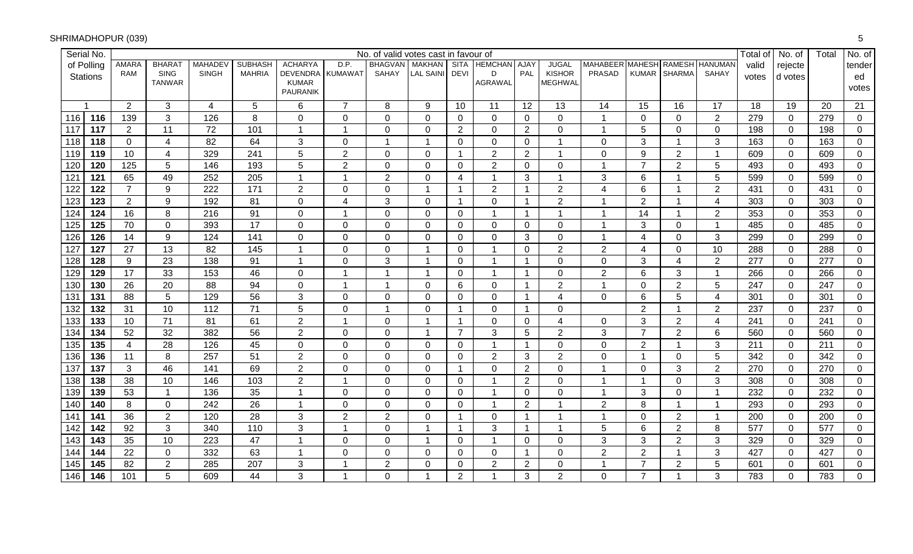| Serial No.              |                  |                              |                |                 |                                    |                | No. of valid votes cast in favour of |                  |                |                   |                |                                 |                |                 |                      |                         | Total of | No. of         | Total | No. of         |
|-------------------------|------------------|------------------------------|----------------|-----------------|------------------------------------|----------------|--------------------------------------|------------------|----------------|-------------------|----------------|---------------------------------|----------------|-----------------|----------------------|-------------------------|----------|----------------|-------|----------------|
| of Polling              | <b>AMARA</b>     | BHARA <sub>1</sub>           | <b>MAHADEV</b> | <b>SUBHASH</b>  | <b>ACHARYA</b>                     | D.P.           | <b>BHAGVAN</b>                       | <b>MAKHAN</b>    |                | SITA HEMCHAN AJAY |                | <b>JUGAL</b>                    | MAHABEER       | <b>MAHESH</b>   | <b>RAMESH</b>        | <b>HANUMAN</b>          | valid    | rejecte        |       | tender         |
| Stations                | <b>RAM</b>       | <b>SING</b><br><b>TANWAR</b> | <b>SINGH</b>   | <b>MAHRIA</b>   | DEVENDRA I KUMAWAT<br><b>KUMAR</b> |                | <b>SAHAY</b>                         | <b>LAL SAINI</b> | <b>DEVI</b>    | D<br>AGRAWAL      | PAL            | <b>KISHOR</b><br><b>MEGHWAL</b> | <b>PRASAD</b>  | <b>KUMAR</b>    | <b>SHARMA</b>        | SAHAY                   | votes    | d votes        |       | ed             |
|                         |                  |                              |                |                 | <b>PAURANIK</b>                    |                |                                      |                  |                |                   |                |                                 |                |                 |                      |                         |          |                |       | votes          |
| $\overline{\mathbf{1}}$ | 2                | 3                            | 4              | 5               | $\,6$                              | $\overline{7}$ | 8                                    | 9                | 10             | 11                | 12             | 13                              | 14             | 15              | 16                   | 17                      | 18       | 19             | 20    | 21             |
| 116<br>116              | 139              | 3                            | 126            | 8               | $\mathbf 0$                        | $\mathbf 0$    | $\mathbf 0$                          | $\mathbf 0$      | $\overline{0}$ | $\overline{0}$    | $\mathbf 0$    | 0                               | 1              | $\mathbf 0$     | $\overline{0}$       | $\overline{2}$          | 279      | $\mathbf 0$    | 279   | $\overline{0}$ |
| 117<br>117              | $\overline{2}$   | 11                           | 72             | 101             | $\mathbf{1}$                       | $\overline{1}$ | $\pmb{0}$                            | $\Omega$         | $\overline{2}$ | $\mathbf 0$       | $\overline{2}$ | 0                               | 1              | 5               | 0                    | $\mathbf 0$             | 198      | $\mathbf 0$    | 198   | $\mathbf 0$    |
| 118<br>118              | $\mathbf 0$      | 4                            | 82             | 64              | $\mathfrak{S}$                     | $\mathbf 0$    | $\mathbf{1}$                         | -1               | $\Omega$       | 0                 | $\mathbf 0$    | 1                               | 0              | 3               | $\overline{1}$       | 3                       | 163      | $\mathbf 0$    | 163   | $\mathbf 0$    |
| 119<br>119              | 10               | 4                            | 329            | 241             | 5                                  | $\overline{2}$ | $\pmb{0}$                            | $\Omega$         | $\mathbf 1$    | $\overline{2}$    | $\overline{2}$ | 1                               | 0              | 9               | $\overline{2}$       | $\overline{1}$          | 609      | $\mathbf 0$    | 609   | $\mathbf 0$    |
| 120<br>120              | 125              | 5                            | 146            | 193             | 5                                  | $\overline{2}$ | $\mathbf 0$                          | $\Omega$         | $\Omega$       | 2                 | $\mathbf{0}$   | 0                               | 1              | $\overline{7}$  | $\overline{2}$       | 5                       | 493      | $\mathbf 0$    | 493   | $\Omega$       |
| $121$<br>121            | 65               | 49                           | 252            | 205             | $\mathbf{1}$                       | $\overline{1}$ | $\overline{2}$                       | $\mathbf 0$      | 4              |                   | 3              | 1                               | 3              | 6               | -1                   | 5                       | 599      | $\mathbf{0}$   | 599   | $\mathbf 0$    |
| $\overline{122}$<br>122 | $\overline{7}$   | 9                            | 222            | 171             | $\overline{2}$                     | $\mathbf 0$    | $\mathbf 0$                          | $\overline{1}$   | $\overline{1}$ | 2                 | $\mathbf{1}$   | $\overline{2}$                  | 4              | 6               | $\overline{1}$       | $\overline{2}$          | 431      | $\mathbf 0$    | 431   | $\mathbf 0$    |
| 123<br>123              | $\overline{2}$   | 9                            | 192            | 81              | $\mathbf 0$                        | $\overline{4}$ | 3                                    | 0                | $\mathbf 1$    | 0                 | $\overline{1}$ | $\overline{2}$                  | 1              | $\overline{2}$  | -1                   | $\overline{\mathbf{4}}$ | 303      | 0              | 303   | $\mathbf 0$    |
| 124<br>124              | 16               | 8                            | 216            | 91              | $\mathbf 0$                        | $\overline{1}$ | $\pmb{0}$                            | $\mathbf 0$      | $\mathbf{0}$   |                   | $\mathbf{1}$   | 1                               | 1              | 14              | $\blacktriangleleft$ | $\overline{2}$          | 353      | $\mathbf 0$    | 353   | $\mathbf 0$    |
| 125<br>125              | 70               | $\mathbf 0$                  | 393            | $\overline{17}$ | $\mathbf 0$                        | $\mathbf 0$    | $\mathbf 0$                          | $\Omega$         | $\Omega$       | $\Omega$          | $\mathbf 0$    | 0                               | -1             | 3               | $\overline{0}$       | $\overline{1}$          | 485      | $\mathbf 0$    | 485   | 0              |
| 126<br>126              | 14               | 9                            | 124            | 141             | $\mathbf 0$                        | $\mathbf 0$    | $\mathbf 0$                          | $\Omega$         | $\Omega$       | $\Omega$          | 3              | $\overline{0}$                  | -1             | 4               | $\overline{0}$       | 3                       | 299      | $\mathbf 0$    | 299   | 0              |
| 127<br>127              | 27               | 13                           | 82             | 145             | $\overline{1}$                     | $\mathbf 0$    | $\mathbf 0$                          | -1               | $\Omega$       |                   | $\mathbf{0}$   | $\overline{2}$                  | $\overline{2}$ | $\overline{4}$  | $\Omega$             | 10                      | 288      | $\mathbf 0$    | 288   | $\mathbf 0$    |
| 128<br>128              | $\boldsymbol{9}$ | 23                           | 138            | 91              | $\overline{1}$                     | $\mathbf 0$    | 3                                    | 1                | $\overline{0}$ |                   | $\overline{1}$ | 0                               | 0              | 3               | 4                    | $\overline{2}$          | 277      | $\mathbf 0$    | 277   | $\mathbf 0$    |
| 129<br>129              | 17               | 33                           | 153            | 46              | $\mathbf 0$                        | $\overline{1}$ | $\overline{1}$                       | $\overline{1}$   | $\Omega$       | $\overline{1}$    | $\mathbf{1}$   | 0                               | $\overline{2}$ | $\,6$           | 3                    | $\overline{1}$          | 266      | $\mathbf 0$    | 266   | $\mathbf 0$    |
| 130<br>130              | 26               | 20                           | 88             | 94              | $\pmb{0}$                          | $\overline{1}$ | $\overline{1}$                       | $\overline{0}$   | 6              | $\mathbf 0$       | $\mathbf{1}$   | $\overline{2}$                  | 1              | $\mathbf 0$     | 2                    | 5                       | 247      | $\mathbf 0$    | 247   | 0              |
| 131<br>131              | 88               | 5                            | 129            | 56              | 3                                  | $\mathbf 0$    | $\pmb{0}$                            | $\mathbf 0$      | 0              | $\mathbf 0$       | $\mathbf{1}$   | $\overline{4}$                  | 0              | $6\phantom{1}6$ | 5                    | $\overline{4}$          | 301      | $\mathbf 0$    | 301   | $\mathbf 0$    |
| 132<br>132              | 31               | 10                           | 112            | 71              | 5                                  | $\mathbf 0$    | $\mathbf{1}$                         | $\Omega$         | $\mathbf 1$    | $\overline{0}$    | $\mathbf{1}$   | 0                               |                | $\overline{2}$  | $\mathbf{1}$         | $\overline{2}$          | 237      | 0              | 237   | $\mathbf{0}$   |
| 133<br>133              | 10               | 71                           | 81             | 61              | $\overline{2}$                     | $\overline{1}$ | $\mathbf 0$                          | $\overline{1}$   | $\mathbf{1}$   | $\mathbf 0$       | $\mathbf 0$    | $\overline{4}$                  | 0              | 3               | 2                    | $\overline{4}$          | 241      | $\mathbf 0$    | 241   | $\mathbf 0$    |
| 134<br>134              | 52               | 32                           | 382            | 56              | $\overline{2}$                     | $\mathbf 0$    | $\mathbf 0$                          | 1                | $\overline{7}$ | 3                 | 5              | $\overline{2}$                  | 3              | $\overline{7}$  | $\overline{2}$       | 6                       | 560      | $\mathbf 0$    | 560   | 0              |
| 135<br>135              | $\overline{4}$   | 28                           | 126            | 45              | $\mathbf 0$                        | $\pmb{0}$      | $\mathbf 0$                          | $\mathbf{0}$     | $\Omega$       | $\overline{1}$    | $\mathbf{1}$   | 0                               | 0              | $\overline{2}$  | $\overline{1}$       | 3                       | 211      | 0              | 211   | 0              |
| 136<br>136              | 11               | 8                            | 257            | 51              | $\sqrt{2}$                         | $\pmb{0}$      | $\pmb{0}$                            | 0                | $\overline{0}$ | $\overline{2}$    | 3              | $\overline{2}$                  | 0              | $\overline{1}$  | $\mathbf 0$          | 5                       | 342      | $\overline{0}$ | 342   | $\mathbf 0$    |
| 137<br>137              | 3                | 46                           | 141            | 69              | $\overline{2}$                     | $\mathbf 0$    | $\mathbf 0$                          | $\mathbf{0}$     | $\mathbf 1$    | $\mathbf 0$       | $\overline{2}$ | 0                               | 1              | $\Omega$        | 3                    | $\overline{2}$          | 270      | $\overline{0}$ | 270   | 0              |
| 138<br>138              | 38               | 10                           | 146            | 103             | $\sqrt{2}$                         | $\overline{1}$ | $\mathbf 0$                          | $\mathbf 0$      | 0              |                   | $\overline{2}$ | 0                               | 1              | -1              | $\overline{0}$       | 3                       | 308      | $\mathbf 0$    | 308   | $\mathbf 0$    |
| 139<br>139              | 53               | $\overline{1}$               | 136            | 35              | $\mathbf{1}$                       | $\mathbf 0$    | $\mathbf 0$                          | $\Omega$         | $\Omega$       |                   | $\mathbf 0$    | 0                               | 1              | 3               | $\Omega$             | $\overline{1}$          | 232      | 0              | 232   | $\mathbf 0$    |
| 140<br>140              | 8                | $\mathbf 0$                  | 242            | $\overline{26}$ | $\overline{1}$                     | $\pmb{0}$      | $\mathbf 0$                          | $\overline{0}$   | $\overline{0}$ |                   | $\overline{2}$ | 1                               | $\overline{2}$ | 8               | -1                   | $\overline{\mathbf{1}}$ | 293      | $\mathbf 0$    | 293   | $\mathbf 0$    |
| 141<br>141              | 36               | $\overline{2}$               | 120            | $\overline{28}$ | $\mathfrak{S}$                     | $\sqrt{2}$     | $\overline{2}$                       | $\Omega$         | $\mathbf 1$    | $\overline{0}$    | $\mathbf{1}$   | $\overline{1}$                  | 1              | $\mathbf 0$     | $\overline{2}$       | $\overline{1}$          | 200      | $\mathbf 0$    | 200   | $\mathbf 0$    |
| 142<br>142              | 92               | 3                            | 340            | 110             | 3                                  | $\overline{1}$ | $\mathbf 0$                          | -1               | $\mathbf{1}$   | 3                 | $\mathbf{1}$   | $\overline{1}$                  | 5              | 6               | 2                    | 8                       | 577      | 0              | 577   | $\mathbf 0$    |
| 143<br>143              | 35               | 10                           | 223            | 47              | $\mathbf{1}$                       | $\mathbf 0$    | $\pmb{0}$                            | -1               | 0              | $\overline{1}$    | $\mathbf 0$    | 0                               | 3              | 3               | $\overline{2}$       | 3                       | 329      | $\mathbf 0$    | 329   | $\mathbf 0$    |
| 144<br>144              | 22               | $\mathbf 0$                  | 332            | 63              | $\mathbf{1}$                       | $\mathbf 0$    | $\mathbf 0$                          | $\Omega$         | $\Omega$       | 0                 | $\mathbf{1}$   | 0                               | $\overline{2}$ | $\overline{2}$  | $\mathbf{1}$         | 3                       | 427      | 0              | 427   | $\mathbf 0$    |
| 145<br>145              | 82               | $\overline{2}$               | 285            | 207             | $\mathbf{3}$                       | $\overline{1}$ | $\overline{2}$                       | $\Omega$         | $\Omega$       | $\overline{2}$    | 2              | 0                               | 1              | $\overline{7}$  | $\overline{2}$       | 5                       | 601      | $\mathbf 0$    | 601   | 0              |
| 146<br>146              | 101              | 5                            | 609            | 44              | 3                                  | 1              | $\mathbf 0$                          |                  | $\overline{2}$ |                   | 3              | $\overline{2}$                  | 0              | $\overline{7}$  |                      | 3                       | 783      | $\mathbf 0$    | 783   | $\mathbf 0$    |

#### SHRIMADHOPUR (039)) and the contract of  $5$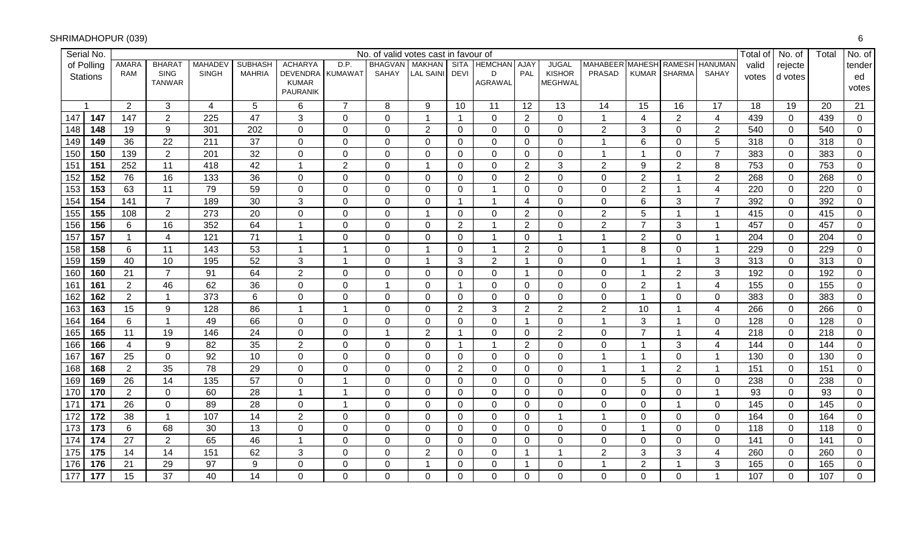| Serial No.              |                 |                              |                |                 |                          |                         | No. of valid votes cast in favour of |                  |                 |                   |                |                                 |                |                |                |                         | Total of | No. of         | Total | No. of         |
|-------------------------|-----------------|------------------------------|----------------|-----------------|--------------------------|-------------------------|--------------------------------------|------------------|-----------------|-------------------|----------------|---------------------------------|----------------|----------------|----------------|-------------------------|----------|----------------|-------|----------------|
| of Polling              | <b>AMARA</b>    | BHARA <sub>1</sub>           | <b>MAHADEV</b> | <b>SUBHASH</b>  | <b>ACHARYA</b>           | D.P.                    | <b>BHAGVAN</b>                       | <b>MAKHAN</b>    |                 | SITA HEMCHAN AJAY |                | <b>JUGAL</b>                    | MAHABEER       | <b>MAHESH</b>  | <b>RAMESH</b>  | <b>HANUMAN</b>          | valid    | rejecte        |       | tender         |
| <b>Stations</b>         | <b>RAM</b>      | <b>SING</b><br><b>TANWAR</b> | <b>SINGH</b>   | <b>MAHRIA</b>   | DEVENDRA<br><b>KUMAR</b> | <b>KUMAWAT</b>          | <b>SAHAY</b>                         | <b>LAL SAINI</b> | <b>DEVI</b>     | D<br>AGRAWAL      | PAL            | <b>KISHOR</b><br><b>MEGHWAL</b> | <b>PRASAD</b>  | <b>KUMAR</b>   | <b>SHARMA</b>  | SAHAY                   | votes    | d votes        |       | ed             |
|                         |                 |                              |                |                 | <b>PAURANIK</b>          |                         |                                      |                  |                 |                   |                |                                 |                |                |                |                         |          |                |       | votes          |
|                         | 2               | 3                            | 4              | 5               | 6                        | $\overline{7}$          | 8                                    | 9                | 10 <sup>°</sup> | 11                | 12             | 13                              | 14             | 15             | 16             | 17                      | 18       | 19             | 20    | 21             |
| 147<br>147              | 147             | $\overline{2}$               | 225            | 47              | 3                        | $\mathbf 0$             | $\mathbf 0$                          | $\mathbf 1$      | $\mathbf{1}$    | $\mathbf 0$       | $\overline{2}$ | 0                               | $\mathbf 1$    | 4              | $\overline{2}$ | $\overline{4}$          | 439      | $\mathbf 0$    | 439   | $\overline{0}$ |
| 148<br>148              | 19              | 9                            | 301            | 202             | $\mathbf 0$              | $\mathbf 0$             | $\pmb{0}$                            | $\overline{2}$   | $\mathbf 0$     | $\mathbf 0$       | $\mathbf 0$    | 0                               | $\overline{2}$ | 3              | $\Omega$       | $\overline{2}$          | 540      | $\mathbf 0$    | 540   | $\mathbf 0$    |
| 149<br>149              | 36              | 22                           | 211            | 37              | $\pmb{0}$                | $\mathbf 0$             | $\mathbf 0$                          | $\Omega$         | $\Omega$        | 0                 | $\mathbf 0$    | 0                               | 1              | $6\phantom{1}$ | $\mathbf{0}$   | 5                       | 318      | $\mathbf 0$    | 318   | 0              |
| 150<br>150              | 139             | $\overline{2}$               | 201            | 32              | $\mathbf 0$              | $\mathbf 0$             | $\mathbf 0$                          | $\Omega$         | $\mathbf 0$     | $\mathbf 0$       | $\mathbf 0$    | 0                               | $\mathbf 1$    | $\overline{1}$ | $\mathbf 0$    | $\overline{7}$          | 383      | $\mathbf 0$    | 383   | $\mathbf 0$    |
| $\overline{151}$<br>151 | 252             | 11                           | 418            | 42              | $\mathbf{1}$             | $\overline{2}$          | $\mathbf 0$                          |                  | $\Omega$        | $\Omega$          | $\overline{2}$ | 3                               | $\overline{2}$ | 9              | 2              | 8                       | 753      | $\mathbf 0$    | 753   | $\mathbf 0$    |
| 152<br>152              | 76              | 16                           | 133            | 36              | $\mathbf 0$              | $\pmb{0}$               | $\pmb{0}$                            | $\mathbf 0$      | $\overline{0}$  | $\mathbf 0$       | $\overline{2}$ | 0                               | 0              | $\overline{2}$ | -1             | $\overline{2}$          | 268      | $\mathbf 0$    | 268   | $\mathbf 0$    |
| 153<br>153              | 63              | 11                           | 79             | 59              | $\mathbf 0$              | $\mathbf 0$             | $\mathbf 0$                          | $\Omega$         | $\Omega$        |                   | $\overline{0}$ | 0                               | 0              | $\overline{2}$ | $\overline{1}$ | $\overline{\mathbf{4}}$ | 220      | $\mathbf 0$    | 220   | $\mathbf 0$    |
| 154<br>154              | 141             | $\overline{7}$               | 189            | 30              | 3                        | $\pmb{0}$               | $\pmb{0}$                            | $\Omega$         | $\mathbf{1}$    |                   | $\overline{4}$ | 0                               | 0              | 6              | 3              | $\overline{7}$          | 392      | 0              | 392   | $\mathbf 0$    |
| 155<br>155              | 108             | $\overline{2}$               | 273            | 20              | $\mathbf 0$              | $\pmb{0}$               | $\pmb{0}$                            | $\overline{1}$   | $\overline{0}$  | 0                 | $\overline{2}$ | 0                               | $\overline{2}$ | 5              | $\overline{1}$ | $\overline{1}$          | 415      | $\mathbf 0$    | 415   | $\mathbf 0$    |
| 156<br>156              | 6               | 16                           | 352            | 64              | $\overline{1}$           | $\mathbf 0$             | $\mathbf 0$                          | $\Omega$         | $\overline{2}$  |                   | $\overline{2}$ | 0                               | $\overline{2}$ | $\overline{7}$ | 3              | $\overline{1}$          | 457      | $\mathbf 0$    | 457   | $\mathbf 0$    |
| 157<br>157              | $\mathbf{1}$    | 4                            | 121            | 71              | $\overline{1}$           | $\mathbf 0$             | $\mathbf 0$                          | $\overline{0}$   | $\Omega$        |                   | $\mathbf 0$    | 1                               | 1              | $\overline{2}$ | $\overline{0}$ | $\overline{1}$          | 204      | $\mathbf 0$    | 204   | $\mathbf 0$    |
| 158<br>158              | 6               | 11                           | 143            | 53              | $\overline{1}$           | $\overline{1}$          | $\mathbf 0$                          | -1               | $\Omega$        |                   | $\overline{2}$ | 0                               | 1              | 8              | $\overline{0}$ | $\overline{1}$          | 229      | $\mathbf 0$    | 229   | $\mathbf 0$    |
| 159<br>159              | 40              | 10                           | 195            | 52              | 3                        | $\overline{1}$          | $\mathbf 0$                          | $\overline{1}$   | 3               | $\overline{2}$    | $\mathbf{1}$   | 0                               | 0              | -1             | $\mathbf{1}$   | 3                       | 313      | $\mathbf 0$    | 313   | $\mathbf 0$    |
| 160<br>160              | 21              | $\overline{7}$               | 91             | 64              | $\overline{2}$           | $\pmb{0}$               | $\pmb{0}$                            | $\Omega$         | $\Omega$        | $\mathbf 0$       | $\mathbf{1}$   | 0                               | 0              | $\overline{1}$ | $\overline{2}$ | $\mathbf{3}$            | 192      | $\mathbf{0}$   | 192   | $\mathbf 0$    |
| 161<br>161              | $\overline{2}$  | 46                           | 62             | 36              | $\pmb{0}$                | $\mathbf 0$             | $\overline{1}$                       | $\overline{0}$   | $\mathbf{1}$    | $\overline{0}$    | $\mathbf 0$    | 0                               | 0              | $\overline{2}$ | $\overline{1}$ | $\overline{4}$          | 155      | $\overline{0}$ | 155   | 0              |
| 162<br>162              | $\overline{2}$  | $\mathbf 1$                  | 373            | $6\phantom{a}$  | $\pmb{0}$                | $\pmb{0}$               | $\pmb{0}$                            | $\mathbf 0$      | $\overline{0}$  | $\mathbf 0$       | $\mathbf 0$    | 0                               | 0              | $\overline{1}$ | $\mathbf 0$    | $\mathbf 0$             | 383      | $\mathbf 0$    | 383   | $\mathbf 0$    |
| 163<br>163              | 15              | 9                            | 128            | 86              | $\mathbf{1}$             | $\overline{1}$          | $\mathbf 0$                          | $\Omega$         | $\overline{2}$  | 3                 | $\overline{2}$ | $\overline{2}$                  | $\overline{2}$ | 10             | $\mathbf 1$    | 4                       | 266      | $\mathbf 0$    | 266   | 0              |
| 164<br>164              | $6\phantom{1}$  | $\overline{1}$               | 49             | 66              | $\mathbf 0$              | $\mathbf 0$             | $\mathbf 0$                          | $\mathbf 0$      | $\overline{0}$  | $\mathbf 0$       | $\mathbf{1}$   | 0                               | $\overline{1}$ | 3              | $\overline{1}$ | $\mathbf 0$             | 128      | $\mathbf 0$    | 128   | $\mathbf 0$    |
| 165<br>165              | 11              | 19                           | 146            | 24              | $\mathbf 0$              | $\mathbf 0$             | $\mathbf{1}$                         | $\overline{2}$   | $\mathbf{1}$    | $\overline{0}$    | $\mathbf 0$    | $\overline{2}$                  | 0              | $\overline{7}$ | $\overline{1}$ | $\overline{4}$          | 218      | $\overline{0}$ | 218   | $\Omega$       |
| 166<br>166              | $\overline{4}$  | 9                            | 82             | 35              | $\overline{2}$           | $\pmb{0}$               | $\mathbf 0$                          | $\Omega$         | $\mathbf 1$     | -1                | $\overline{2}$ | 0                               | 0              | $\overline{1}$ | 3              | 4                       | 144      | $\mathbf 0$    | 144   | 0              |
| 167<br>167              | 25              | $\mathbf 0$                  | 92             | 10              | $\mathbf 0$              | $\pmb{0}$               | $\pmb{0}$                            | $\mathbf 0$      | $\overline{0}$  | $\mathbf 0$       | $\mathbf 0$    | 0                               | 1              | $\overline{1}$ | $\mathbf 0$    | $\overline{1}$          | 130      | $\mathbf 0$    | 130   | $\mathbf 0$    |
| 168<br>168              | $\overline{2}$  | 35                           | 78             | 29              | $\mathbf 0$              | $\mathbf 0$             | $\mathbf 0$                          | $\Omega$         | $\overline{2}$  | 0                 | $\mathbf 0$    | 0                               | 1              | $\overline{1}$ | $\overline{2}$ | $\overline{1}$          | 151      | $\mathbf 0$    | 151   | 0              |
| 169<br>169              | 26              | 14                           | 135            | 57              | $\pmb{0}$                | $\overline{1}$          | $\mathbf 0$                          | $\overline{0}$   | $\overline{0}$  | $\mathbf 0$       | $\mathbf 0$    | 0                               | 0              | 5              | $\mathbf 0$    | $\mathbf 0$             | 238      | $\mathbf 0$    | 238   | $\mathbf 0$    |
| 170<br>170              | $\mathbf{2}$    | $\mathbf 0$                  | 60             | 28              | $\mathbf{1}$             | $\overline{\mathbf{1}}$ | $\mathbf 0$                          | $\Omega$         | $\Omega$        | $\Omega$          | $\mathbf 0$    | 0                               | 0              | $\mathbf 0$    | $\Omega$       | $\overline{1}$          | 93       | $\overline{0}$ | 93    | $\mathbf 0$    |
| 171<br>171              | $\overline{26}$ | $\mathbf 0$                  | 89             | $\overline{28}$ | $\mathbf 0$              | $\overline{1}$          | $\mathbf 0$                          | $\Omega$         | $\overline{0}$  | $\mathbf{0}$      | $\mathbf 0$    | 0                               | 0              | $\overline{0}$ | -1             | $\overline{0}$          | 145      | $\mathbf 0$    | 145   | $\mathbf 0$    |
| 172<br>172              | 38              | $\overline{1}$               | 107            | 14              | $\overline{2}$           | $\mathbf 0$             | $\pmb{0}$                            | $\Omega$         | $\Omega$        | $\overline{0}$    | $\overline{0}$ | 1                               | 1              | $\mathbf 0$    | $\mathbf 0$    | $\mathbf 0$             | 164      | $\mathbf 0$    | 164   | $\mathbf 0$    |
| 173<br>173              | $6\phantom{1}$  | 68                           | 30             | 13              | $\mathbf 0$              | $\mathbf 0$             | $\mathbf 0$                          | $\Omega$         | $\Omega$        | $\Omega$          | $\mathbf 0$    | 0                               | 0              | $\overline{1}$ | $\Omega$       | $\overline{0}$          | 118      | $\mathbf 0$    | 118   | $\mathbf 0$    |
| 174<br>174              | 27              | $\overline{2}$               | 65             | 46              | $\mathbf{1}$             | $\mathbf 0$             | $\pmb{0}$                            | $\Omega$         | $\Omega$        | $\mathbf 0$       | $\mathbf 0$    | 0                               | 0              | $\mathbf 0$    | $\mathbf{0}$   | $\mathbf 0$             | 141      | $\mathbf 0$    | 141   | $\mathbf 0$    |
| 175<br>175              | 14              | 14                           | 151            | 62              | 3                        | 0                       | $\mathbf 0$                          | $\overline{2}$   | $\Omega$        | 0                 | $\mathbf{1}$   | 1                               | $\overline{2}$ | 3              | 3              | 4                       | 260      | 0              | 260   | $\mathbf 0$    |
| 176<br>176              | 21              | 29                           | 97             | 9               | $\mathbf 0$              | $\mathbf 0$             | $\pmb{0}$                            | 1                | $\Omega$        | $\mathbf 0$       | $\mathbf{1}$   | 0                               | 1              | $\overline{2}$ | -1             | 3                       | 165      | $\mathbf 0$    | 165   | $\mathbf 0$    |
| 177<br>177              | 15              | 37                           | 40             | 14              | $\mathbf 0$              | $\mathbf 0$             | $\mathbf 0$                          | $\Omega$         | $\Omega$        | 0                 | $\overline{0}$ | 0                               | 0              | $\Omega$       | $\overline{0}$ |                         | 107      | $\overline{0}$ | 107   | $\mathbf 0$    |

#### SHRIMADHOPUR (039))<br>6